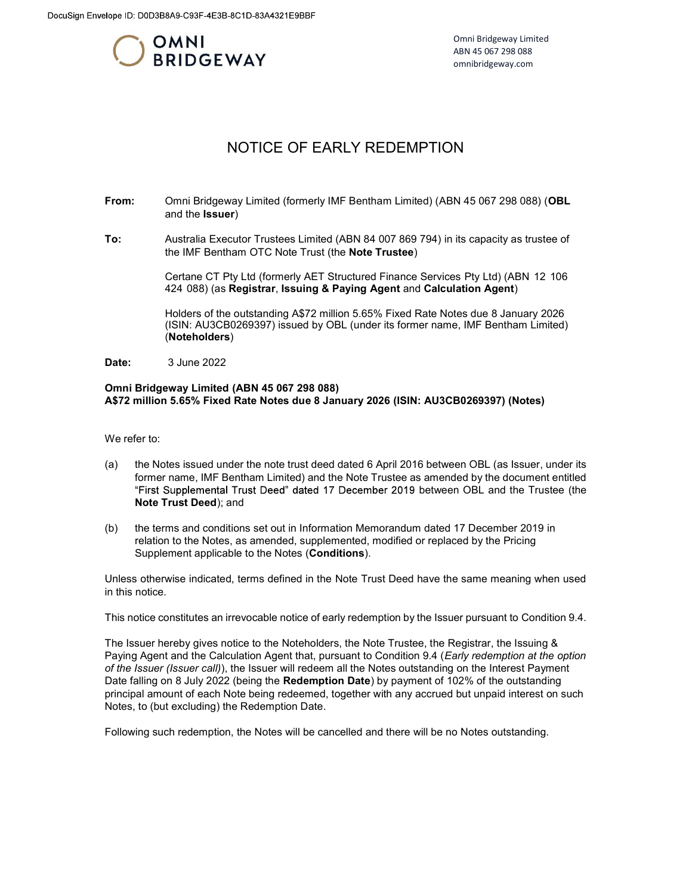

Omni Bridgeway Limited ABN 45 067 298 088 omnibridgeway.com

## NOTICE OF EARLY REDEMPTION

- From: Omni Bridgeway Limited (formerly IMF Bentham Limited) (ABN 45 067 298 088) (OBL and the Issuer)
- To: Australia Executor Trustees Limited (ABN 84 007 869 794) in its capacity as trustee of the IMF Bentham OTC Note Trust (the Note Trustee)

Certane CT Pty Ltd (formerly AET Structured Finance Services Pty Ltd) (ABN 12 106 424 088) (as Registrar, Issuing & Paying Agent and Calculation Agent)

Holders of the outstanding A\$72 million 5.65% Fixed Rate Notes due 8 January 2026 (ISIN: AU3CB0269397) issued by OBL (under its former name, IMF Bentham Limited) (Noteholders)

Date: 3 June 2022

## Omni Bridgeway Limited (ABN 45 067 298 088) A\$72 million 5.65% Fixed Rate Notes due 8 January 2026 (ISIN: AU3CB0269397) (Notes)

We refer to:

- (a) the Notes issued under the note trust deed dated 6 April 2016 between OBL (as Issuer, under its former name, IMF Bentham Limited) and the Note Trustee as amended by the document entitled "First Supplemental Trust Deed" dated 17 December 2019 between OBL and the Trustee (the Note Trust Deed); and
- (b) the terms and conditions set out in Information Memorandum dated 17 December 2019 in relation to the Notes, as amended, supplemented, modified or replaced by the Pricing Supplement applicable to the Notes (Conditions).

Unless otherwise indicated, terms defined in the Note Trust Deed have the same meaning when used in this notice.

This notice constitutes an irrevocable notice of early redemption by the Issuer pursuant to Condition 9.4.

The Issuer hereby gives notice to the Noteholders, the Note Trustee, the Registrar, the Issuing & Paying Agent and the Calculation Agent that, pursuant to Condition 9.4 (Early redemption at the option of the Issuer (Issuer call)), the Issuer will redeem all the Notes outstanding on the Interest Payment Date falling on 8 July 2022 (being the Redemption Date) by payment of 102% of the outstanding principal amount of each Note being redeemed, together with any accrued but unpaid interest on such Notes, to (but excluding) the Redemption Date.

Following such redemption, the Notes will be cancelled and there will be no Notes outstanding.